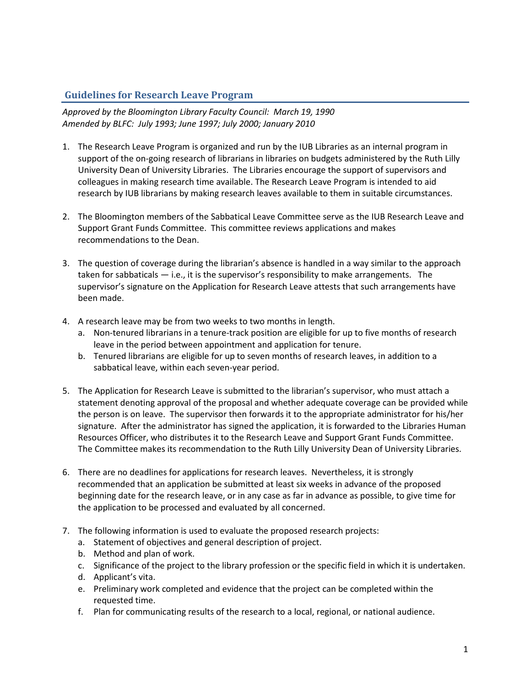## **Guidelines for Research Leave Program**

*Approved by the Bloomington Library Faculty Council: March 19, 1990 Amended by BLFC: July 1993; June 1997; July 2000; January 2010*

- 1. The Research Leave Program is organized and run by the IUB Libraries as an internal program in support of the on-going research of librarians in libraries on budgets administered by the Ruth Lilly University Dean of University Libraries. The Libraries encourage the support of supervisors and colleagues in making research time available. The Research Leave Program is intended to aid research by IUB librarians by making research leaves available to them in suitable circumstances.
- 2. The Bloomington members of the Sabbatical Leave Committee serve as the IUB Research Leave and Support Grant Funds Committee. This committee reviews applications and makes recommendations to the Dean.
- 3. The question of coverage during the librarian's absence is handled in a way similar to the approach taken for sabbaticals — i.e., it is the supervisor's responsibility to make arrangements. The supervisor's signature on the Application for Research Leave attests that such arrangements have been made.
- 4. A research leave may be from two weeks to two months in length.
	- a. Non-tenured librarians in a tenure-track position are eligible for up to five months of research leave in the period between appointment and application for tenure.
	- b. Tenured librarians are eligible for up to seven months of research leaves, in addition to a sabbatical leave, within each seven-year period.
- 5. The Application for Research Leave is submitted to the librarian's supervisor, who must attach a statement denoting approval of the proposal and whether adequate coverage can be provided while the person is on leave. The supervisor then forwards it to the appropriate administrator for his/her signature. After the administrator has signed the application, it is forwarded to the Libraries Human Resources Officer, who distributes it to the Research Leave and Support Grant Funds Committee. The Committee makes its recommendation to the Ruth Lilly University Dean of University Libraries.
- 6. There are no deadlines for applications for research leaves. Nevertheless, it is strongly recommended that an application be submitted at least six weeks in advance of the proposed beginning date for the research leave, or in any case as far in advance as possible, to give time for the application to be processed and evaluated by all concerned.
- 7. The following information is used to evaluate the proposed research projects:
	- a. Statement of objectives and general description of project.
	- b. Method and plan of work.
	- c. Significance of the project to the library profession or the specific field in which it is undertaken.
	- d. Applicant's vita.
	- e. Preliminary work completed and evidence that the project can be completed within the requested time.
	- f. Plan for communicating results of the research to a local, regional, or national audience.